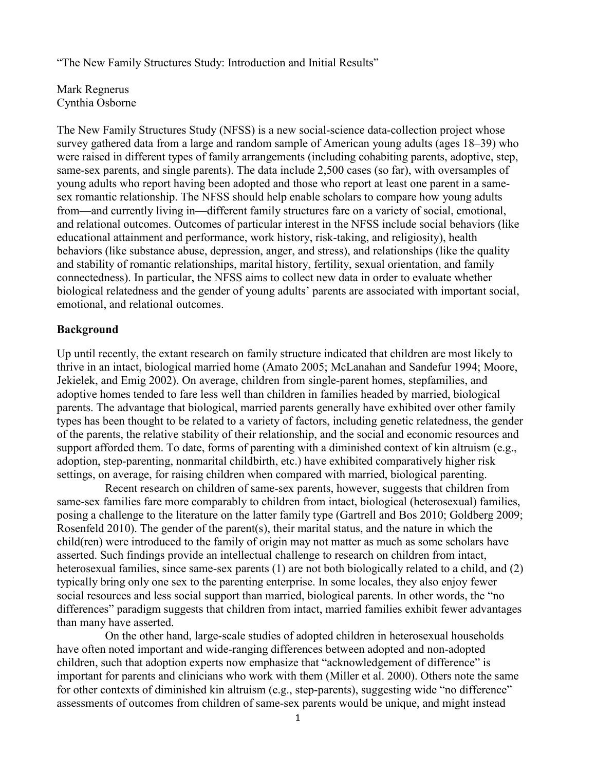"The New Family Structures Study: Introduction and Initial Results"

Mark Regnerus Cynthia Osborne

The New Family Structures Study (NFSS) is a new social-science data-collection project whose survey gathered data from a large and random sample of American young adults (ages 18–39) who were raised in different types of family arrangements (including cohabiting parents, adoptive, step, same-sex parents, and single parents). The data include 2,500 cases (so far), with oversamples of young adults who report having been adopted and those who report at least one parent in a samesex romantic relationship. The NFSS should help enable scholars to compare how young adults from—and currently living in—different family structures fare on a variety of social, emotional, and relational outcomes. Outcomes of particular interest in the NFSS include social behaviors (like educational attainment and performance, work history, risk-taking, and religiosity), health behaviors (like substance abuse, depression, anger, and stress), and relationships (like the quality and stability of romantic relationships, marital history, fertility, sexual orientation, and family connectedness). In particular, the NFSS aims to collect new data in order to evaluate whether biological relatedness and the gender of young adults' parents are associated with important social, emotional, and relational outcomes.

## **Background**

Up until recently, the extant research on family structure indicated that children are most likely to thrive in an intact, biological married home (Amato 2005; McLanahan and Sandefur 1994; Moore, Jekielek, and Emig 2002). On average, children from single-parent homes, stepfamilies, and adoptive homes tended to fare less well than children in families headed by married, biological parents. The advantage that biological, married parents generally have exhibited over other family types has been thought to be related to a variety of factors, including genetic relatedness, the gender of the parents, the relative stability of their relationship, and the social and economic resources and support afforded them. To date, forms of parenting with a diminished context of kin altruism (e.g., adoption, step-parenting, nonmarital childbirth, etc.) have exhibited comparatively higher risk settings, on average, for raising children when compared with married, biological parenting.

Recent research on children of same-sex parents, however, suggests that children from same-sex families fare more comparably to children from intact, biological (heterosexual) families, posing a challenge to the literature on the latter family type (Gartrell and Bos 2010; Goldberg 2009; Rosenfeld 2010). The gender of the parent(s), their marital status, and the nature in which the child(ren) were introduced to the family of origin may not matter as much as some scholars have asserted. Such findings provide an intellectual challenge to research on children from intact, heterosexual families, since same-sex parents (1) are not both biologically related to a child, and (2) typically bring only one sex to the parenting enterprise. In some locales, they also enjoy fewer social resources and less social support than married, biological parents. In other words, the "no differences" paradigm suggests that children from intact, married families exhibit fewer advantages than many have asserted.

On the other hand, large-scale studies of adopted children in heterosexual households have often noted important and wide-ranging differences between adopted and non-adopted children, such that adoption experts now emphasize that "acknowledgement of difference" is important for parents and clinicians who work with them (Miller et al. 2000). Others note the same for other contexts of diminished kin altruism (e.g., step-parents), suggesting wide "no difference" assessments of outcomes from children of same-sex parents would be unique, and might instead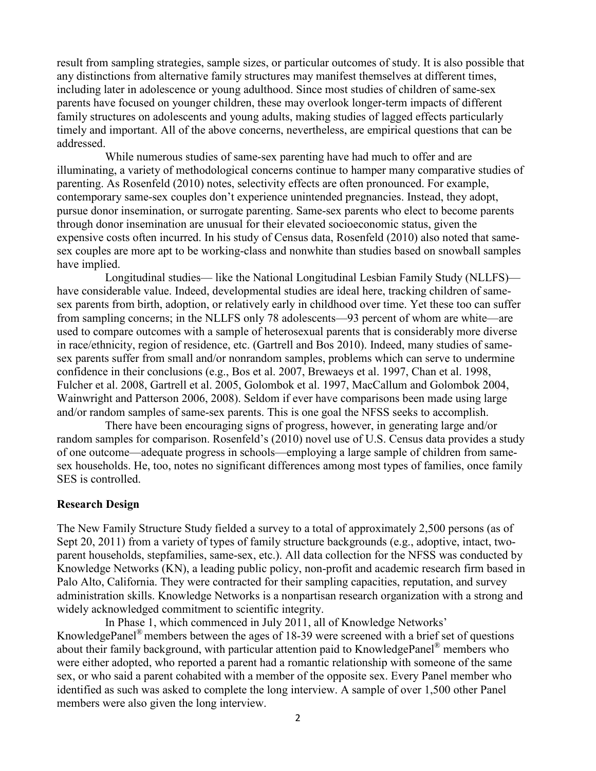result from sampling strategies, sample sizes, or particular outcomes of study. It is also possible that any distinctions from alternative family structures may manifest themselves at different times, including later in adolescence or young adulthood. Since most studies of children of same-sex parents have focused on younger children, these may overlook longer-term impacts of different family structures on adolescents and young adults, making studies of lagged effects particularly timely and important. All of the above concerns, nevertheless, are empirical questions that can be addressed.

While numerous studies of same-sex parenting have had much to offer and are illuminating, a variety of methodological concerns continue to hamper many comparative studies of parenting. As Rosenfeld (2010) notes, selectivity effects are often pronounced. For example, contemporary same-sex couples don't experience unintended pregnancies. Instead, they adopt, pursue donor insemination, or surrogate parenting. Same-sex parents who elect to become parents through donor insemination are unusual for their elevated socioeconomic status, given the expensive costs often incurred. In his study of Census data, Rosenfeld (2010) also noted that samesex couples are more apt to be working-class and nonwhite than studies based on snowball samples have implied.

Longitudinal studies— like the National Longitudinal Lesbian Family Study (NLLFS) have considerable value. Indeed, developmental studies are ideal here, tracking children of samesex parents from birth, adoption, or relatively early in childhood over time. Yet these too can suffer from sampling concerns; in the NLLFS only 78 adolescents—93 percent of whom are white—are used to compare outcomes with a sample of heterosexual parents that is considerably more diverse in race/ethnicity, region of residence, etc. (Gartrell and Bos 2010). Indeed, many studies of samesex parents suffer from small and/or nonrandom samples, problems which can serve to undermine confidence in their conclusions (e.g., Bos et al. 2007, Brewaeys et al. 1997, Chan et al. 1998, Fulcher et al. 2008, Gartrell et al. 2005, Golombok et al. 1997, MacCallum and Golombok 2004, Wainwright and Patterson 2006, 2008). Seldom if ever have comparisons been made using large and/or random samples of same-sex parents. This is one goal the NFSS seeks to accomplish.

There have been encouraging signs of progress, however, in generating large and/or random samples for comparison. Rosenfeld's (2010) novel use of U.S. Census data provides a study of one outcome—adequate progress in schools—employing a large sample of children from samesex households. He, too, notes no significant differences among most types of families, once family SES is controlled.

## **Research Design**

The New Family Structure Study fielded a survey to a total of approximately 2,500 persons (as of Sept 20, 2011) from a variety of types of family structure backgrounds (e.g., adoptive, intact, twoparent households, stepfamilies, same-sex, etc.). All data collection for the NFSS was conducted by Knowledge Networks (KN), a leading public policy, non-profit and academic research firm based in Palo Alto, California. They were contracted for their sampling capacities, reputation, and survey administration skills. Knowledge Networks is a nonpartisan research organization with a strong and widely acknowledged commitment to scientific integrity.

In Phase 1, which commenced in July 2011, all of Knowledge Networks' KnowledgePanel<sup>®</sup> members between the ages of 18-39 were screened with a brief set of questions about their family background, with particular attention paid to KnowledgePanel® members who were either adopted, who reported a parent had a romantic relationship with someone of the same sex, or who said a parent cohabited with a member of the opposite sex. Every Panel member who identified as such was asked to complete the long interview. A sample of over 1,500 other Panel members were also given the long interview.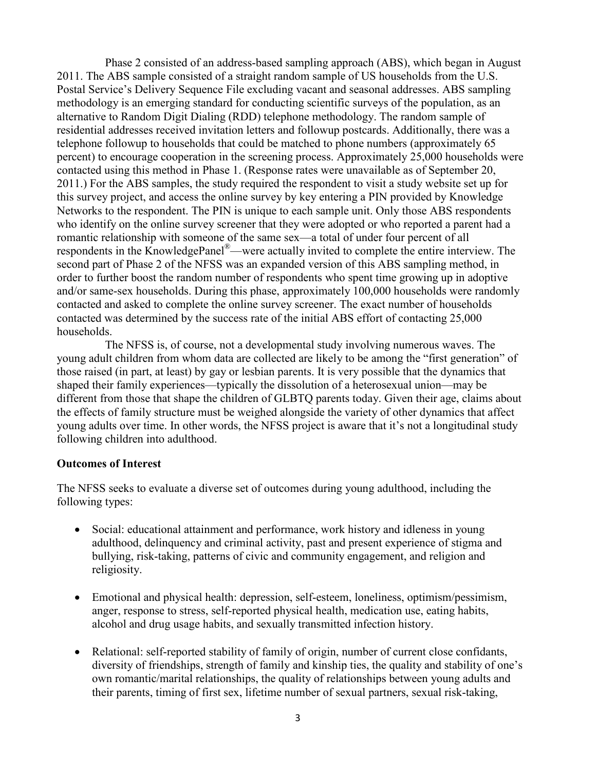Phase 2 consisted of an address-based sampling approach (ABS), which began in August 2011. The ABS sample consisted of a straight random sample of US households from the U.S. Postal Service's Delivery Sequence File excluding vacant and seasonal addresses. ABS sampling methodology is an emerging standard for conducting scientific surveys of the population, as an alternative to Random Digit Dialing (RDD) telephone methodology. The random sample of residential addresses received invitation letters and followup postcards. Additionally, there was a telephone followup to households that could be matched to phone numbers (approximately 65 percent) to encourage cooperation in the screening process. Approximately 25,000 households were contacted using this method in Phase 1. (Response rates were unavailable as of September 20, 2011.) For the ABS samples, the study required the respondent to visit a study website set up for this survey project, and access the online survey by key entering a PIN provided by Knowledge Networks to the respondent. The PIN is unique to each sample unit. Only those ABS respondents who identify on the online survey screener that they were adopted or who reported a parent had a romantic relationship with someone of the same sex—a total of under four percent of all respondents in the KnowledgePanel®—were actually invited to complete the entire interview. The second part of Phase 2 of the NFSS was an expanded version of this ABS sampling method, in order to further boost the random number of respondents who spent time growing up in adoptive and/or same-sex households. During this phase, approximately 100,000 households were randomly contacted and asked to complete the online survey screener. The exact number of households contacted was determined by the success rate of the initial ABS effort of contacting 25,000 households.

The NFSS is, of course, not a developmental study involving numerous waves. The young adult children from whom data are collected are likely to be among the "first generation" of those raised (in part, at least) by gay or lesbian parents. It is very possible that the dynamics that shaped their family experiences—typically the dissolution of a heterosexual union—may be different from those that shape the children of GLBTQ parents today. Given their age, claims about the effects of family structure must be weighed alongside the variety of other dynamics that affect young adults over time. In other words, the NFSS project is aware that it's not a longitudinal study following children into adulthood.

## **Outcomes of Interest**

The NFSS seeks to evaluate a diverse set of outcomes during young adulthood, including the following types:

- Social: educational attainment and performance, work history and idleness in young adulthood, delinquency and criminal activity, past and present experience of stigma and bullying, risk-taking, patterns of civic and community engagement, and religion and religiosity.
- Emotional and physical health: depression, self-esteem, loneliness, optimism/pessimism, anger, response to stress, self-reported physical health, medication use, eating habits, alcohol and drug usage habits, and sexually transmitted infection history.
- Relational: self-reported stability of family of origin, number of current close confidants, diversity of friendships, strength of family and kinship ties, the quality and stability of one's own romantic/marital relationships, the quality of relationships between young adults and their parents, timing of first sex, lifetime number of sexual partners, sexual risk-taking,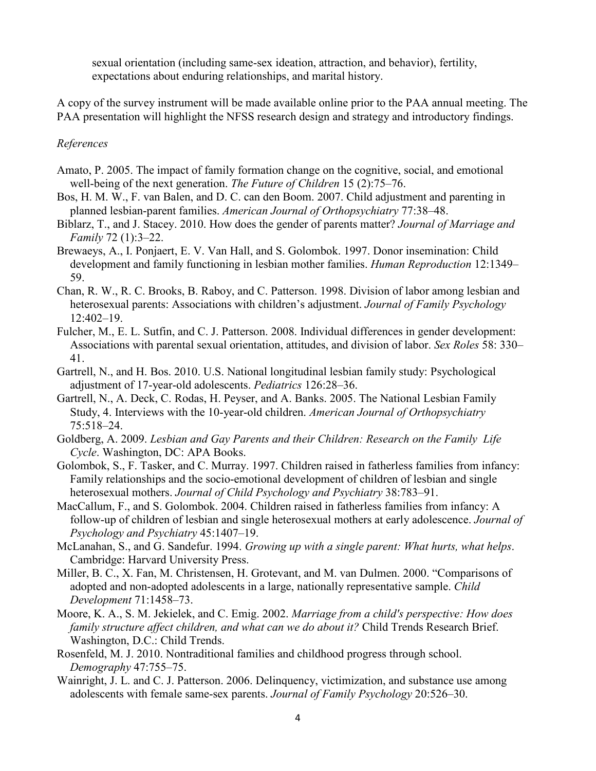sexual orientation (including same-sex ideation, attraction, and behavior), fertility, expectations about enduring relationships, and marital history.

A copy of the survey instrument will be made available online prior to the PAA annual meeting. The PAA presentation will highlight the NFSS research design and strategy and introductory findings.

## *References*

- Amato, P. 2005. The impact of family formation change on the cognitive, social, and emotional well-being of the next generation. *The Future of Children* 15 (2):75–76.
- Bos, H. M. W., F. van Balen, and D. C. can den Boom. 2007. Child adjustment and parenting in planned lesbian-parent families. *American Journal of Orthopsychiatry* 77:38–48.
- Biblarz, T., and J. Stacey. 2010. How does the gender of parents matter? *Journal of Marriage and Family* 72 (1):3–22.
- Brewaeys, A., I. Ponjaert, E. V. Van Hall, and S. Golombok. 1997. Donor insemination: Child development and family functioning in lesbian mother families. *Human Reproduction* 12:1349– 59.
- Chan, R. W., R. C. Brooks, B. Raboy, and C. Patterson. 1998. Division of labor among lesbian and heterosexual parents: Associations with children's adjustment. *Journal of Family Psychology*  12:402–19.
- Fulcher, M., E. L. Sutfin, and C. J. Patterson. 2008. Individual differences in gender development: Associations with parental sexual orientation, attitudes, and division of labor. *Sex Roles* 58: 330– 41.
- Gartrell, N., and H. Bos. 2010. U.S. National longitudinal lesbian family study: Psychological adjustment of 17-year-old adolescents. *Pediatrics* 126:28–36.
- Gartrell, N., A. Deck, C. Rodas, H. Peyser, and A. Banks. 2005. The National Lesbian Family Study, 4. Interviews with the 10-year-old children. *American Journal of Orthopsychiatry*  75:518–24.
- Goldberg, A. 2009. *Lesbian and Gay Parents and their Children: Research on the Family Life Cycle*. Washington, DC: APA Books.
- Golombok, S., F. Tasker, and C. Murray. 1997. Children raised in fatherless families from infancy: Family relationships and the socio-emotional development of children of lesbian and single heterosexual mothers. *Journal of Child Psychology and Psychiatry* 38:783–91.
- MacCallum, F., and S. Golombok. 2004. Children raised in fatherless families from infancy: A follow-up of children of lesbian and single heterosexual mothers at early adolescence. *Journal of Psychology and Psychiatry* 45:1407–19.
- McLanahan, S., and G. Sandefur. 1994. *Growing up with a single parent: What hurts, what helps*. Cambridge: Harvard University Press.
- Miller, B. C., X. Fan, M. Christensen, H. Grotevant, and M. van Dulmen. 2000. "Comparisons of adopted and non-adopted adolescents in a large, nationally representative sample. *Child Development* 71:1458–73.
- Moore, K. A., S. M. Jekielek, and C. Emig. 2002. *Marriage from a child's perspective: How does family structure affect children, and what can we do about it?* Child Trends Research Brief. Washington, D.C.: Child Trends.
- Rosenfeld, M. J. 2010. Nontraditional families and childhood progress through school. *Demography* 47:755–75.
- Wainright, J. L. and C. J. Patterson. 2006. Delinquency, victimization, and substance use among adolescents with female same-sex parents. *Journal of Family Psychology* 20:526–30.